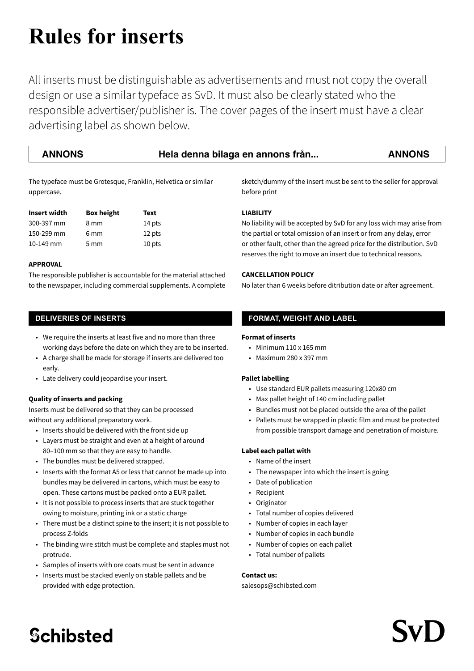# **Rules for inserts**

All inserts must be distinguishable as advertisements and must not copy the overall design or use a similar typeface as SvD. It must also be clearly stated who the responsible advertiser/publisher is. The cover pages of the insert must have a clear advertising label as shown below.

#### **ANNONS Hela denna bilaga en annons från... ANNONS**

The typeface must be Grotesque, Franklin, Helvetica or similar uppercase.

| Insert width | <b>Box height</b> | Text   |
|--------------|-------------------|--------|
| 300-397 mm   | 8 mm              | 14 pts |
| 150-299 mm   | 6 <sub>mm</sub>   | 12 pts |
| 10-149 mm    | $5 \, \text{mm}$  | 10 pts |

#### **APPROVAL**

The responsible publisher is accountable for the material attached to the newspaper, including commercial supplements. A complete

### **DELIVERIES OF INSERTS**

- We require the inserts at least five and no more than three working days before the date on which they are to be inserted.
- A charge shall be made for storage if inserts are delivered too early.
- Late delivery could jeopardise your insert.

#### **Quality of inserts and packing**

Inserts must be delivered so that they can be processed without any additional preparatory work.

- Inserts should be delivered with the front side up
- Layers must be straight and even at a height of around 80–100 mm so that they are easy to handle.
- The bundles must be delivered strapped.
- Inserts with the format A5 or less that cannot be made up into bundles may be delivered in cartons, which must be easy to open. These cartons must be packed onto a EUR pallet.
- It is not possible to process inserts that are stuck together owing to moisture, printing ink or a static charge
- There must be a distinct spine to the insert; it is not possible to process Z-folds
- The binding wire stitch must be complete and staples must not protrude.
- Samples of inserts with ore coats must be sent in advance
- Inserts must be stacked evenly on stable pallets and be provided with edge protection.

sketch/dummy of the insert must be sent to the seller for approval before print

#### **LIABILITY**

No liability will be accepted by SvD for any loss wich may arise from the partial or total omission of an insert or from any delay, error or other fault, other than the agreed price for the distribution. SvD reserves the right to move an insert due to technical reasons.

#### **CANCELLATION POLICY**

No later than 6 weeks before ditribution date or after agreement.

### **FORMAT, WEIGHT AND LABEL**

#### **Format of inserts**

- $\cdot$  Minimum 110 x 165 mm
- Maximum 280 x 397 mm

#### **Pallet labelling**

- Use standard EUR pallets measuring 120x80 cm
- Max pallet height of 140 cm including pallet
- Bundles must not be placed outside the area of the pallet
- Pallets must be wrapped in plastic film and must be protected from possible transport damage and penetration of moisture.

#### **Label each pallet with**

- Name of the insert
- The newspaper into which the insert is going
- Date of publication
- **Recipient**
- Originator
- Total number of copies delivered
- Number of copies in each layer
- Number of copies in each bundle
- Number of copies on each pallet
- Total number of pallets

#### **Contact us:**

#### salesops@schibsted.com

### **Schibsted**